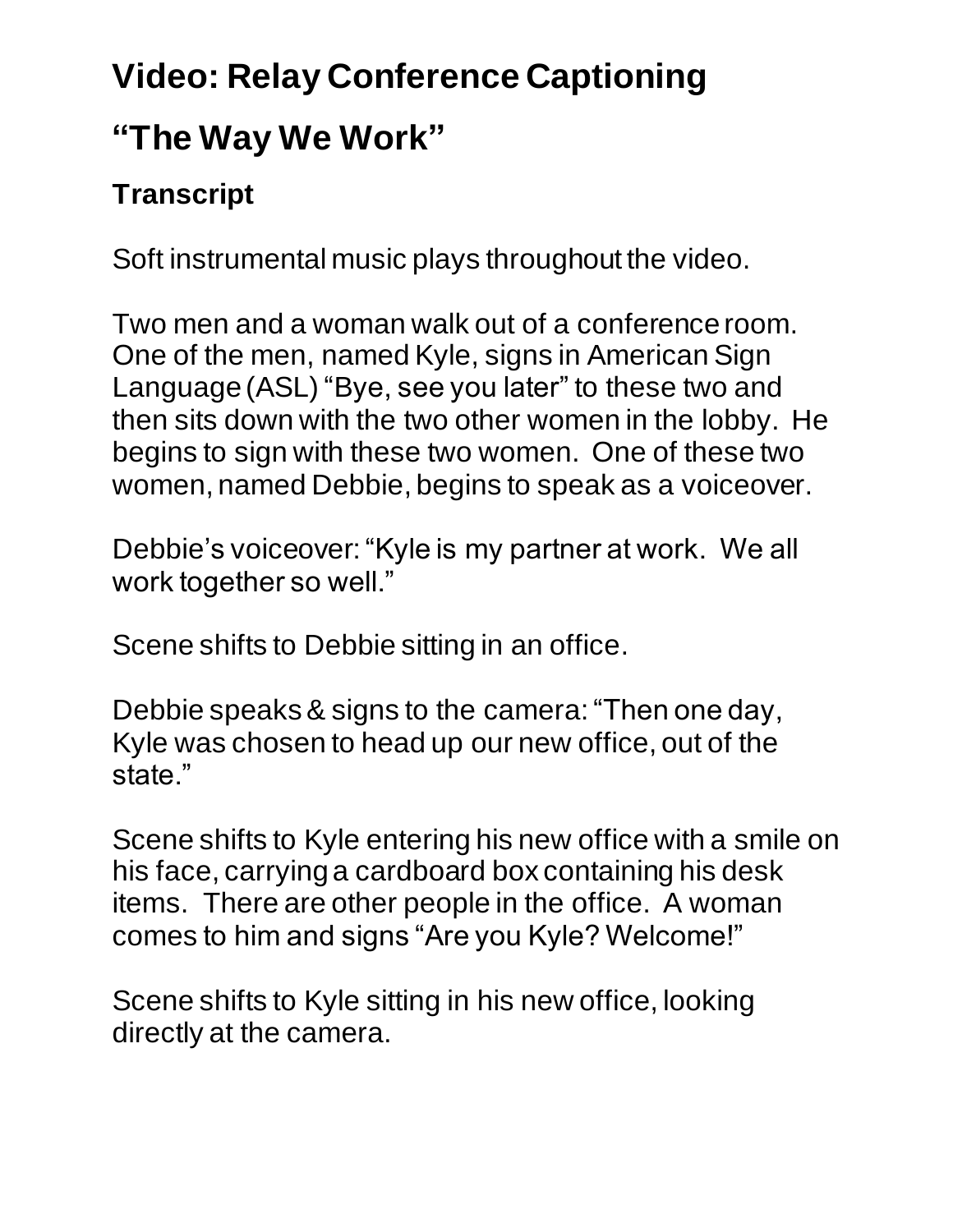## **Video: Relay Conference Captioning "The Way We Work"**

## **Transcript**

Soft instrumental music plays throughout the video.

Two men and a woman walk out of a conference room. One of the men, named Kyle, signs in American Sign Language (ASL) "Bye, see you later" to these two and then sits down with the two other women in the lobby. He begins to sign with these two women. One of these two women, named Debbie, begins to speak as a voiceover.

Debbie's voiceover: "Kyle is my partner at work. We all work together so well."

Scene shifts to Debbie sitting in an office.

Debbie speaks & signs to the camera:"Then one day, Kyle was chosen to head up our new office, out of the state."

Scene shifts to Kyle entering his new office with a smile on his face, carrying a cardboard box containing his desk items. There are other people in the office. A woman comes to him and signs "Are you Kyle? Welcome!"

Scene shifts to Kyle sitting in his new office, looking directly at the camera.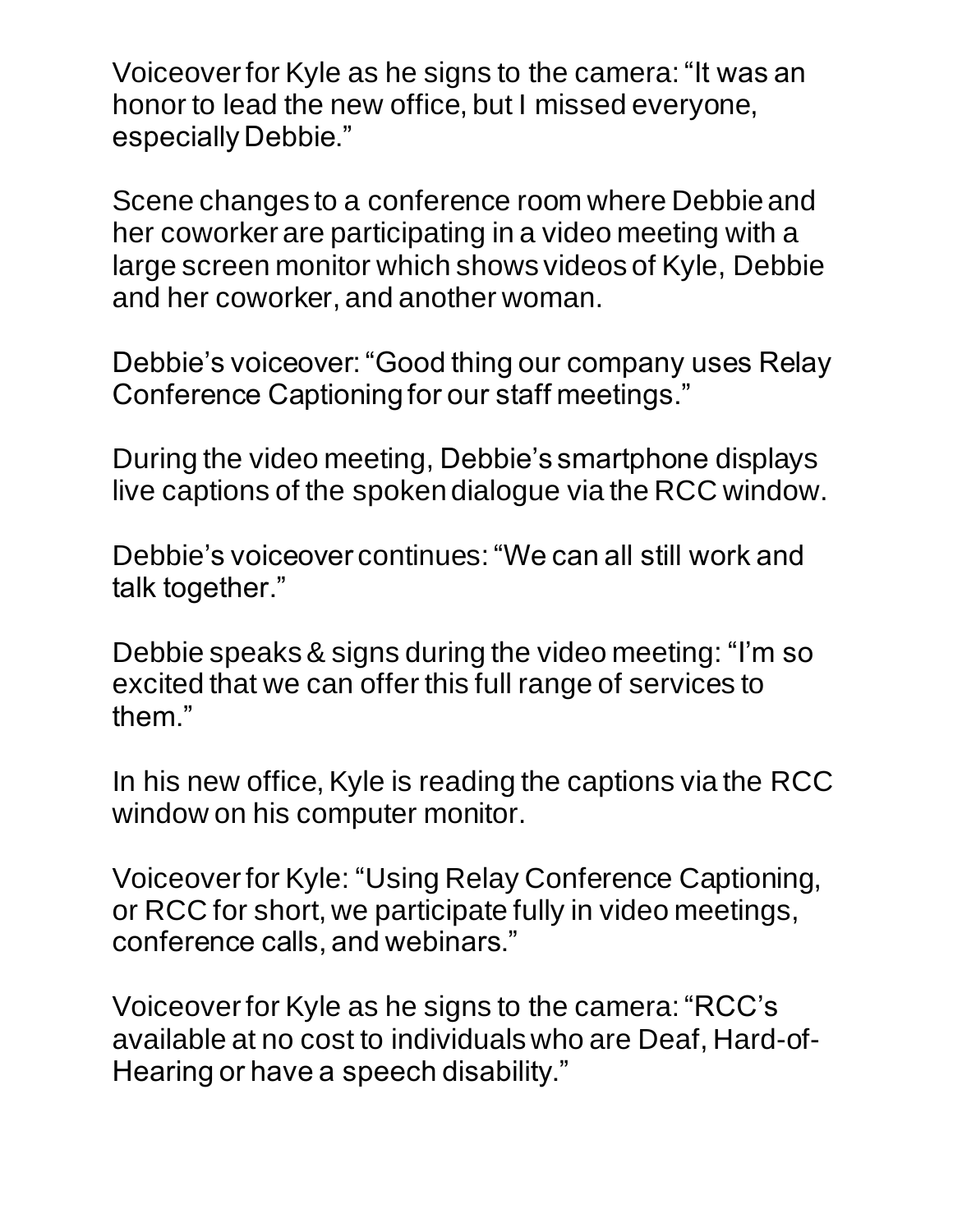Voiceover for Kyle as he signs to the camera: "It was an honor to lead the new office, but I missed everyone, especially Debbie."

Scene changes to a conference room where Debbie and her coworker are participating in a video meeting with a large screen monitor which shows videos of Kyle, Debbie and her coworker, and another woman.

Debbie's voiceover: "Good thing our company uses Relay Conference Captioning for our staff meetings."

During the video meeting, Debbie's smartphone displays live captions of the spoken dialogue via the RCC window.

Debbie's voiceover continues: "We can all still work and talk together."

Debbie speaks& signs during the video meeting: "I'm so excited that we can offer this full range of services to them."

In his new office, Kyle is reading the captions via the RCC window on his computer monitor.

Voiceover for Kyle: "Using Relay Conference Captioning, or RCC for short, we participate fully in video meetings, conference calls, and webinars."

Voiceover for Kyle as he signs to the camera: "RCC's available at no cost to individuals who are Deaf, Hard-of-Hearing or have a speech disability."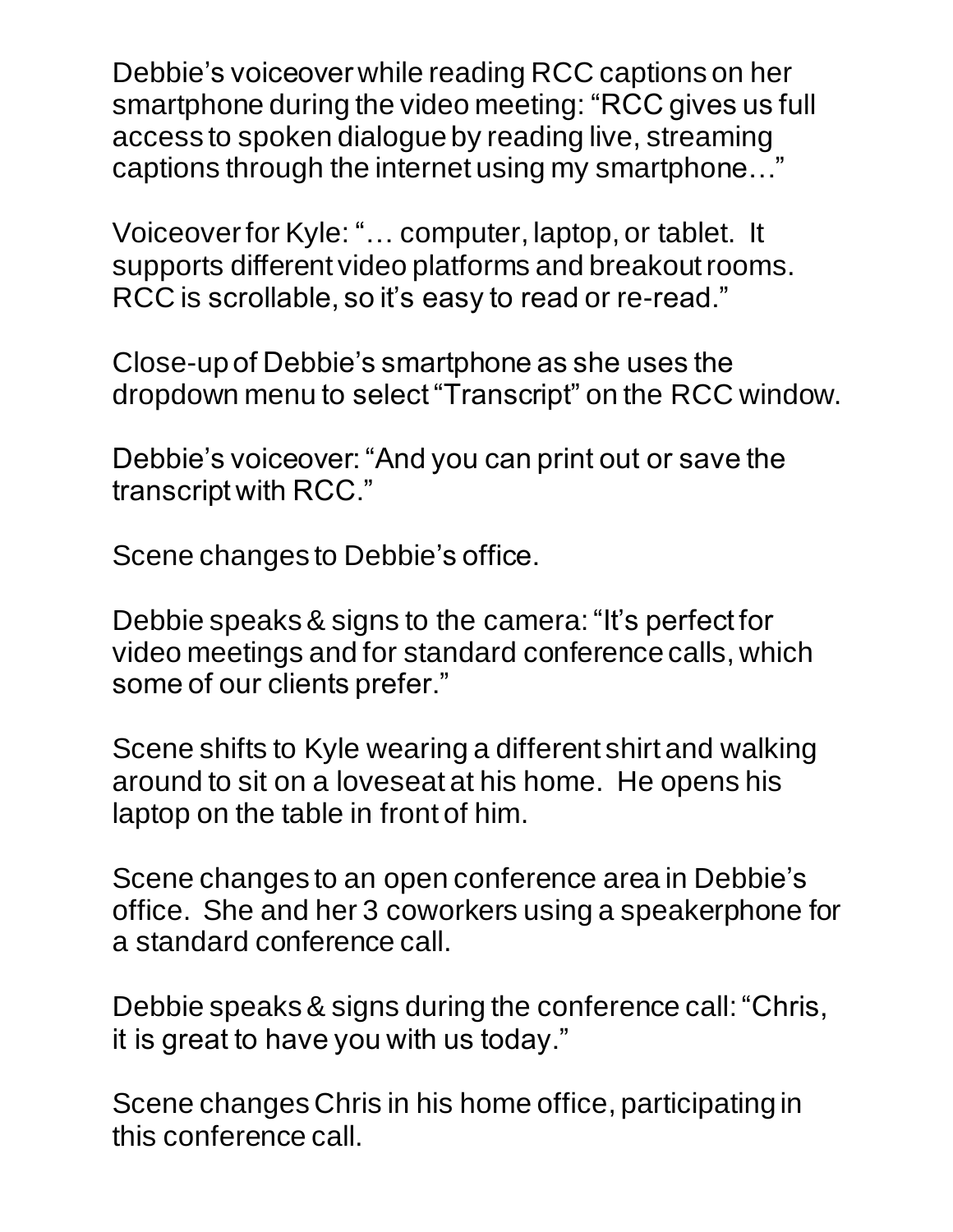Debbie's voiceover while reading RCC captions on her smartphone during the video meeting: "RCC gives us full access to spoken dialogue by reading live, streaming captions through the internet using my smartphone…"

Voiceover for Kyle: "… computer, laptop, or tablet. It supports different video platforms and breakout rooms. RCC is scrollable, so it's easy to read or re-read."

Close-up of Debbie's smartphone as she uses the dropdown menu to select "Transcript" on the RCC window.

Debbie's voiceover:"And you can print out or save the transcript with RCC."

Scene changes to Debbie's office.

Debbie speaks& signs to the camera: "It's perfect for video meetings and for standard conference calls, which some of our clients prefer."

Scene shifts to Kyle wearing a different shirt and walking around to sit on a loveseat at his home. He opens his laptop on the table in front of him.

Scene changes to an open conference area in Debbie's office. She and her 3 coworkers using a speakerphone for a standard conference call.

Debbie speaks& signs during the conference call: "Chris, it is great to have you with us today."

Scene changes Chris in his home office, participating in this conference call.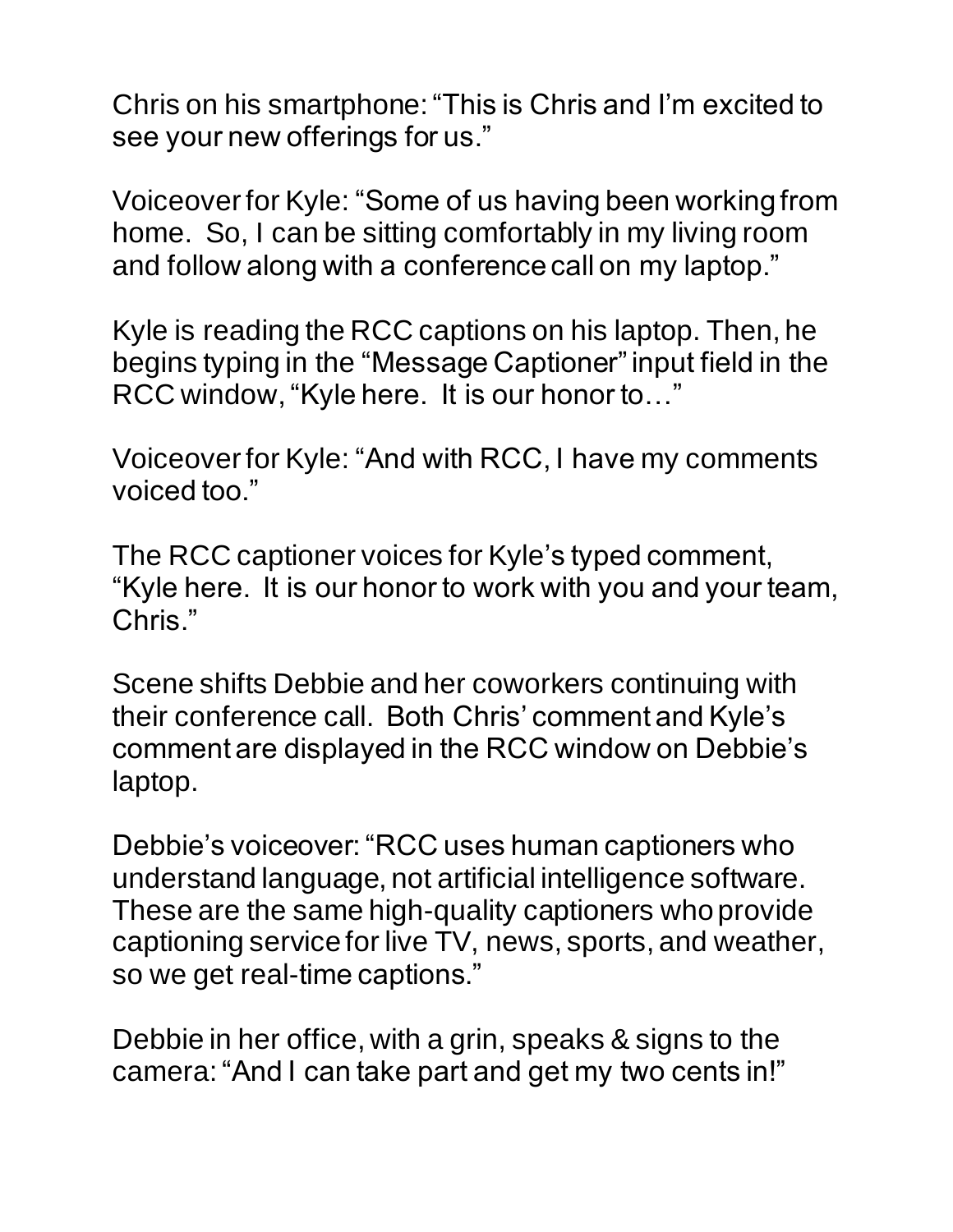Chris on his smartphone: "This is Chris and I'm excited to see your new offerings for us."

Voiceover for Kyle: "Some of us having been working from home. So, I can be sitting comfortably in my living room and follow along with a conference call on my laptop."

Kyle is reading the RCC captions on his laptop. Then, he begins typing in the "Message Captioner" input field in the RCC window, "Kyle here. It is our honor to…"

Voiceover for Kyle: "And with RCC, I have my comments voiced too."

The RCC captioner voices for Kyle's typed comment, "Kyle here. It is our honor to work with you and your team, Chris."

Scene shifts Debbie and her coworkers continuing with their conference call. Both Chris' comment and Kyle's comment are displayed in the RCC window on Debbie's laptop.

Debbie's voiceover: "RCC uses human captioners who understand language, not artificial intelligence software. These are the same high-quality captioners who provide captioning service for live TV, news, sports, and weather, so we get real-time captions."

Debbie in her office, with a grin, speaks & signs to the camera:"And I can take part and get my two cents in!"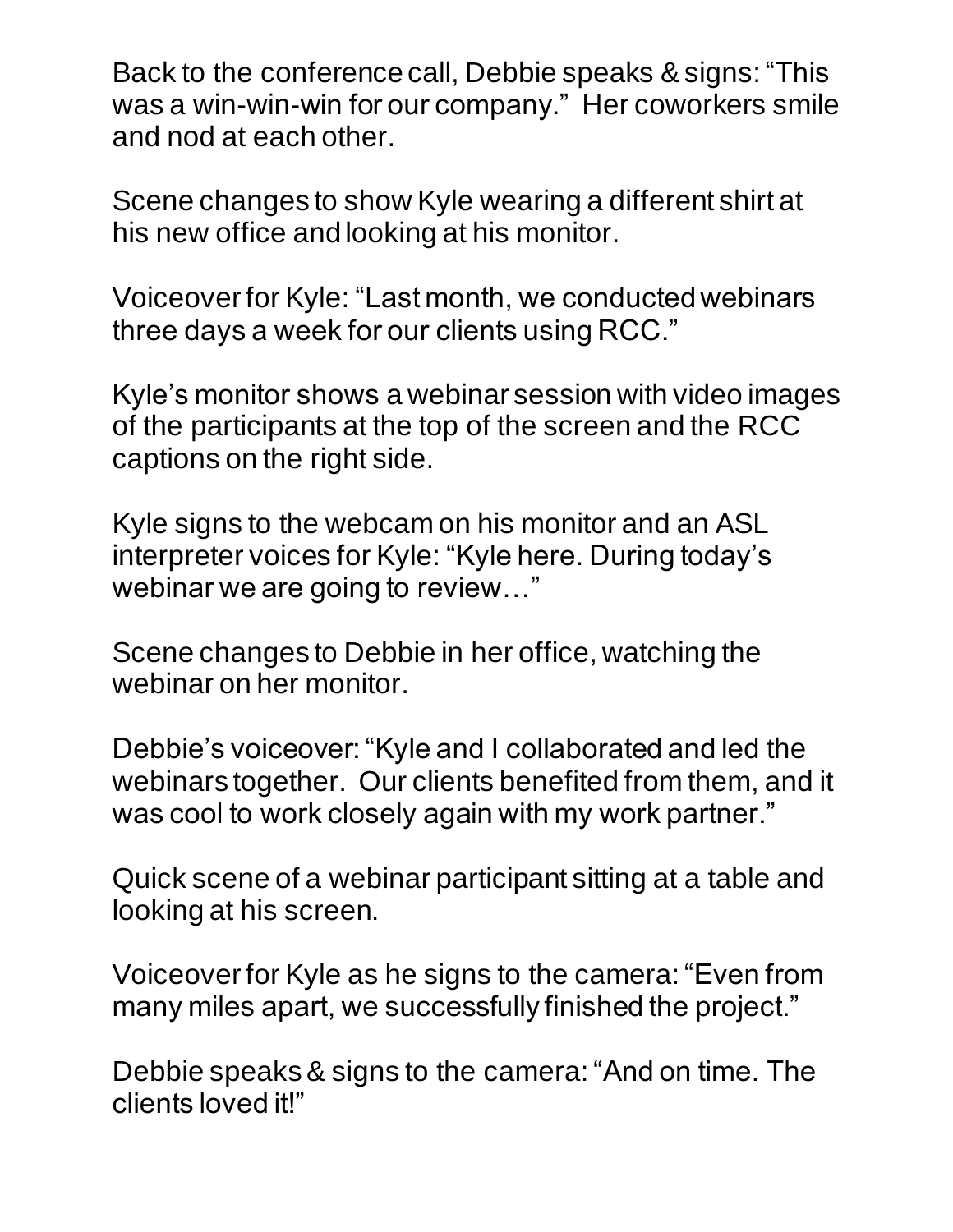Back to the conference call, Debbie speaks & signs: "This was a win-win-win for our company." Her coworkers smile and nod at each other.

Scene changes to show Kyle wearing a different shirt at his new office andlooking at his monitor.

Voiceover for Kyle: "Last month, we conducted webinars three days a week for our clients using RCC."

Kyle's monitor shows a webinar session with video images of the participants at the top of the screen and the RCC captions on the right side.

Kyle signs to the webcam on his monitor and an ASL interpreter voices for Kyle: "Kyle here. During today's webinar we are going to review…"

Scene changes to Debbie in her office, watching the webinar on her monitor.

Debbie's voiceover: "Kyle and I collaborated and led the webinars together. Our clients benefited from them, and it was cool to work closely again with my work partner."

Quick scene of a webinar participant sitting at a table and looking at his screen.

Voiceover for Kyle as he signs to the camera: "Even from many miles apart, we successfully finished the project."

Debbie speaks& signs to the camera:"And on time. The clients loved it!"